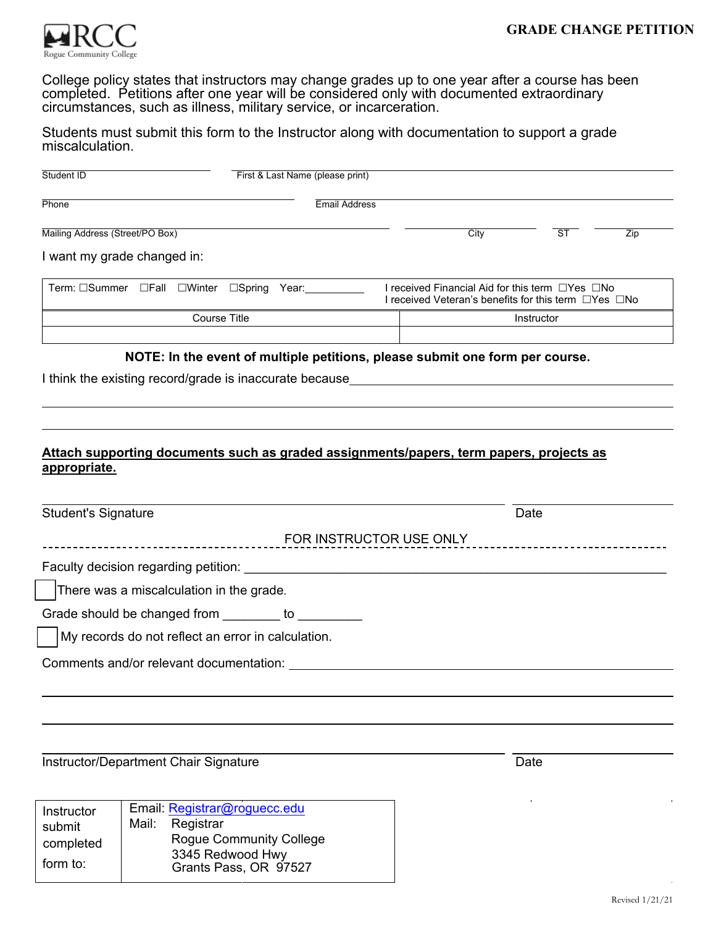

College policy states that instructors may change grades up to one year after a course has been completed. Petitions after one year will be considered only with documented extraordinary circumstances, such as illness, military service, or incarceration.

Students must submit this form to the Instructor along with documentation to support a grade miscalculation.

| Student ID                                                                                              | First & Last Name (please print)                                             |                         |                                                                                                                                 |                          |     |
|---------------------------------------------------------------------------------------------------------|------------------------------------------------------------------------------|-------------------------|---------------------------------------------------------------------------------------------------------------------------------|--------------------------|-----|
| Phone                                                                                                   |                                                                              | <b>Email Address</b>    |                                                                                                                                 |                          |     |
| Mailing Address (Street/PO Box)                                                                         |                                                                              |                         | City                                                                                                                            | $\overline{\mathsf{ST}}$ | Zip |
| I want my grade changed in:                                                                             |                                                                              |                         |                                                                                                                                 |                          |     |
| Term: □Summer □Fall □Winter □Spring Year:                                                               |                                                                              |                         | I received Financial Aid for this term $\Box$ Yes $\Box$ No<br>I received Veteran's benefits for this term $\Box$ Yes $\Box$ No |                          |     |
| <b>Course Title</b>                                                                                     |                                                                              |                         | Instructor                                                                                                                      |                          |     |
|                                                                                                         | NOTE: In the event of multiple petitions, please submit one form per course. |                         |                                                                                                                                 |                          |     |
| I think the existing record/grade is inaccurate because_________________________                        |                                                                              |                         |                                                                                                                                 |                          |     |
|                                                                                                         |                                                                              |                         |                                                                                                                                 |                          |     |
|                                                                                                         |                                                                              |                         |                                                                                                                                 |                          |     |
| Attach supporting documents such as graded assignments/papers, term papers, projects as<br>appropriate. |                                                                              |                         |                                                                                                                                 |                          |     |
|                                                                                                         |                                                                              |                         |                                                                                                                                 | Date                     |     |
| <b>Student's Signature</b>                                                                              |                                                                              | FOR INSTRUCTOR USE ONLY |                                                                                                                                 |                          |     |
|                                                                                                         |                                                                              |                         |                                                                                                                                 |                          |     |
| There was a miscalculation in the grade.                                                                |                                                                              |                         |                                                                                                                                 |                          |     |
| Grade should be changed from to to                                                                      |                                                                              |                         |                                                                                                                                 |                          |     |
| My records do not reflect an error in calculation.                                                      |                                                                              |                         |                                                                                                                                 |                          |     |
| Comments and/or relevant documentation: ____                                                            |                                                                              |                         |                                                                                                                                 |                          |     |
|                                                                                                         |                                                                              |                         |                                                                                                                                 |                          |     |
|                                                                                                         |                                                                              |                         |                                                                                                                                 |                          |     |
|                                                                                                         |                                                                              |                         |                                                                                                                                 |                          |     |

| Instructor | Email: Registrar@roguecc.edu |                                           |  |
|------------|------------------------------|-------------------------------------------|--|
| submit     |                              | Mail: Registrar                           |  |
| completed  |                              | <b>Rogue Community College</b>            |  |
| form to:   |                              | 3345 Redwood Hwy<br>Grants Pass, OR 97527 |  |